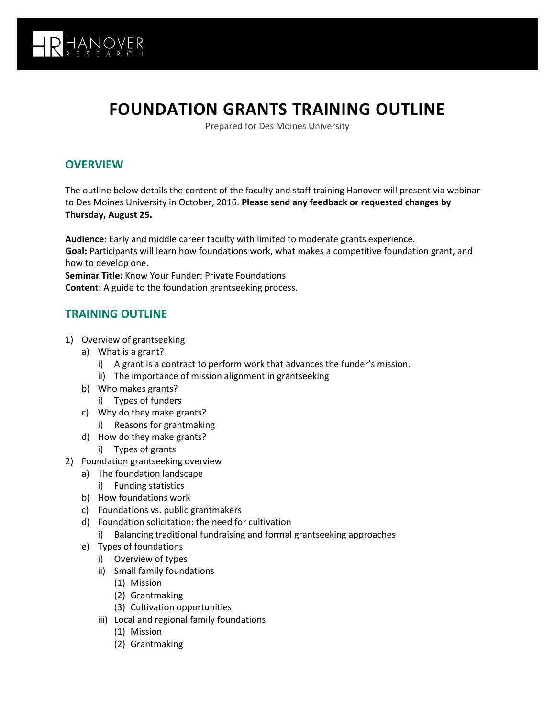

## **FOUNDATION GRANTS TRAINING OUTLINE**

Prepared for Des Moines University

## **OVERVIEW**

The outline below details the content of the faculty and staff training Hanover will present via webinar to Des Moines University in October, 2016. **Please send any feedback or requested changes by Thursday, August 25.**

**Audience:** Early and middle career faculty with limited to moderate grants experience. **Goal:** Participants will learn how foundations work, what makes a competitive foundation grant, and how to develop one. **Seminar Title:** Know Your Funder: Private Foundations

**Content:** A guide to the foundation grantseeking process.

## **TRAINING OUTLINE**

- 1) Overview of grantseeking
	- a) What is a grant?
		- i) A grant is a contract to perform work that advances the funder's mission.
		- ii) The importance of mission alignment in grantseeking
	- b) Who makes grants?
		- i) Types of funders
	- c) Why do they make grants?
		- i) Reasons for grantmaking
	- d) How do they make grants?
		- i) Types of grants
- 2) Foundation grantseeking overview
	- a) The foundation landscape
		- i) Funding statistics
	- b) How foundations work
	- c) Foundations vs. public grantmakers
	- d) Foundation solicitation: the need for cultivation
		- i) Balancing traditional fundraising and formal grantseeking approaches
	- e) Types of foundations
		- i) Overview of types
		- ii) Small family foundations
			- (1) Mission
			- (2) Grantmaking
			- (3) Cultivation opportunities
		- iii) Local and regional family foundations
			- (1) Mission
			- (2) Grantmaking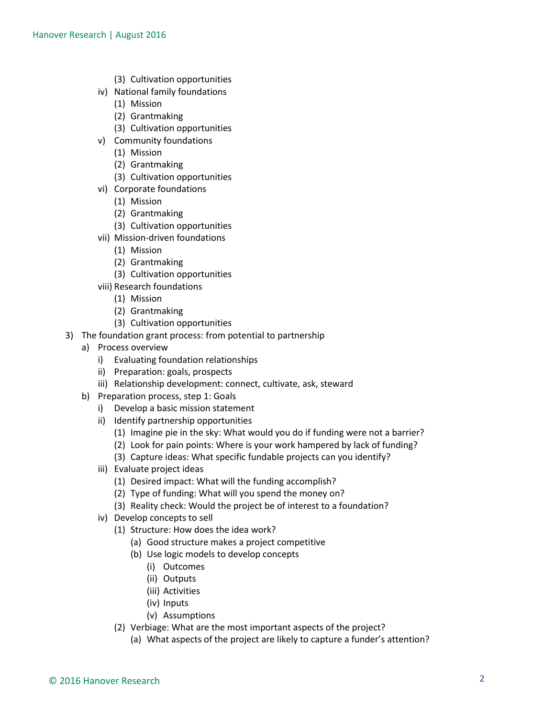- (3) Cultivation opportunities
- iv) National family foundations
	- (1) Mission
	- (2) Grantmaking
	- (3) Cultivation opportunities
- v) Community foundations
	- (1) Mission
	- (2) Grantmaking
	- (3) Cultivation opportunities
- vi) Corporate foundations
	- (1) Mission
	- (2) Grantmaking
	- (3) Cultivation opportunities
- vii) Mission-driven foundations
	- (1) Mission
	- (2) Grantmaking
	- (3) Cultivation opportunities
- viii) Research foundations
	- (1) Mission
	- (2) Grantmaking
	- (3) Cultivation opportunities
- 3) The foundation grant process: from potential to partnership
	- a) Process overview
		- i) Evaluating foundation relationships
		- ii) Preparation: goals, prospects
		- iii) Relationship development: connect, cultivate, ask, steward
	- b) Preparation process, step 1: Goals
		- i) Develop a basic mission statement
		- ii) Identify partnership opportunities
			- (1) Imagine pie in the sky: What would you do if funding were not a barrier?
			- (2) Look for pain points: Where is your work hampered by lack of funding?
			- (3) Capture ideas: What specific fundable projects can you identify?
		- iii) Evaluate project ideas
			- (1) Desired impact: What will the funding accomplish?
			- (2) Type of funding: What will you spend the money on?
			- (3) Reality check: Would the project be of interest to a foundation?
		- iv) Develop concepts to sell
			- (1) Structure: How does the idea work?
				- (a) Good structure makes a project competitive
				- (b) Use logic models to develop concepts
					- (i) Outcomes
					- (ii) Outputs
					- (iii) Activities
					- (iv) Inputs
					- (v) Assumptions
			- (2) Verbiage: What are the most important aspects of the project?
				- (a) What aspects of the project are likely to capture a funder's attention?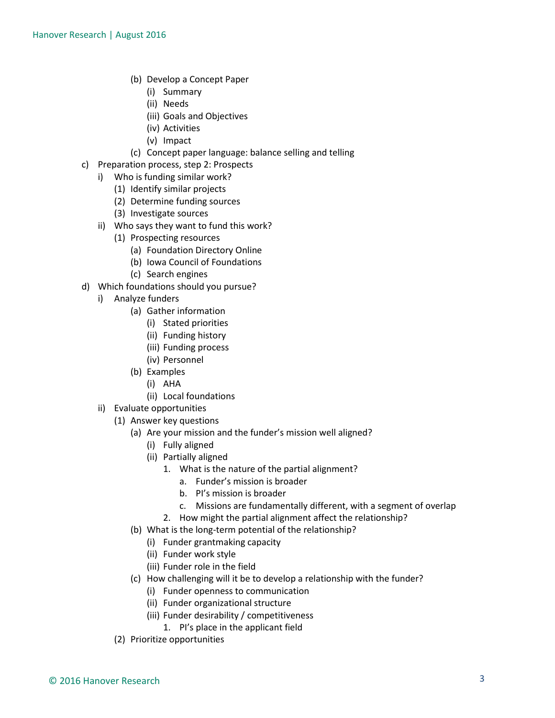- (b) Develop a Concept Paper
	- (i) Summary
	- (ii) Needs
	- (iii) Goals and Objectives
	- (iv) Activities
	- (v) Impact
- (c) Concept paper language: balance selling and telling
- c) Preparation process, step 2: Prospects
	- i) Who is funding similar work?
		- (1) Identify similar projects
		- (2) Determine funding sources
		- (3) Investigate sources
	- ii) Who says they want to fund this work?
		- (1) Prospecting resources
			- (a) Foundation Directory Online
			- (b) Iowa Council of Foundations
			- (c) Search engines
- d) Which foundations should you pursue?
	- i) Analyze funders
		- (a) Gather information
			- (i) Stated priorities
			- (ii) Funding history
			- (iii) Funding process
			- (iv) Personnel
		- (b) Examples
			- (i) AHA
			- (ii) Local foundations
	- ii) Evaluate opportunities
		- (1) Answer key questions
			- (a) Are your mission and the funder's mission well aligned?
				- (i) Fully aligned
				- (ii) Partially aligned
					- 1. What is the nature of the partial alignment?
						- a. Funder's mission is broader
						- b. PI's mission is broader
						- c. Missions are fundamentally different, with a segment of overlap
					- 2. How might the partial alignment affect the relationship?
			- (b) What is the long-term potential of the relationship?
				- (i) Funder grantmaking capacity
				- (ii) Funder work style
				- (iii) Funder role in the field
			- (c) How challenging will it be to develop a relationship with the funder?
				- (i) Funder openness to communication
				- (ii) Funder organizational structure
				- (iii) Funder desirability / competitiveness
					- 1. PI's place in the applicant field
		- (2) Prioritize opportunities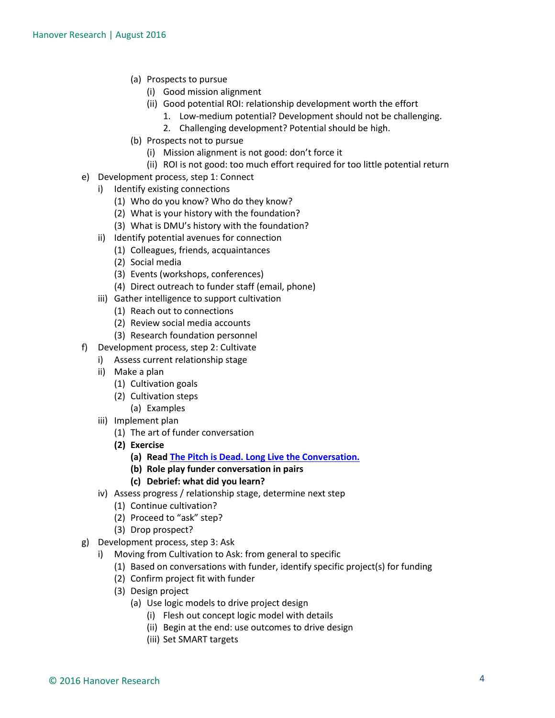- (a) Prospects to pursue
	- (i) Good mission alignment
	- (ii) Good potential ROI: relationship development worth the effort
		- 1. Low-medium potential? Development should not be challenging.
		- 2. Challenging development? Potential should be high.
- (b) Prospects not to pursue
	- (i) Mission alignment is not good: don't force it
	- (ii) ROI is not good: too much effort required for too little potential return
- e) Development process, step 1: Connect
	- i) Identify existing connections
		- (1) Who do you know? Who do they know?
		- (2) What is your history with the foundation?
		- (3) What is DMU's history with the foundation?
		- ii) Identify potential avenues for connection
			- (1) Colleagues, friends, acquaintances
			- (2) Social media
			- (3) Events (workshops, conferences)
			- (4) Direct outreach to funder staff (email, phone)
		- iii) Gather intelligence to support cultivation
			- (1) Reach out to connections
			- (2) Review social media accounts
			- (3) Research foundation personnel
- f) Development process, step 2: Cultivate
	- i) Assess current relationship stage
	- ii) Make a plan
		- (1) Cultivation goals
		- (2) Cultivation steps
			- (a) Examples
	- iii) Implement plan
		- (1) The art of funder conversation
		- **(2) Exercise**
			- **(a) Rea[d The Pitch is Dead. Long Live the Conversation.](http://ssir.org/articles/entry/the_pitch_is_dead._long_live_the_conversation)**
			- **(b) Role play funder conversation in pairs**
			- **(c) Debrief: what did you learn?**
	- iv) Assess progress / relationship stage, determine next step
		- (1) Continue cultivation?
		- (2) Proceed to "ask" step?
		- (3) Drop prospect?
- g) Development process, step 3: Ask
	- i) Moving from Cultivation to Ask: from general to specific
		- (1) Based on conversations with funder, identify specific project(s) for funding
		- (2) Confirm project fit with funder
		- (3) Design project
			- (a) Use logic models to drive project design
				- (i) Flesh out concept logic model with details
				- (ii) Begin at the end: use outcomes to drive design
				- (iii) Set SMART targets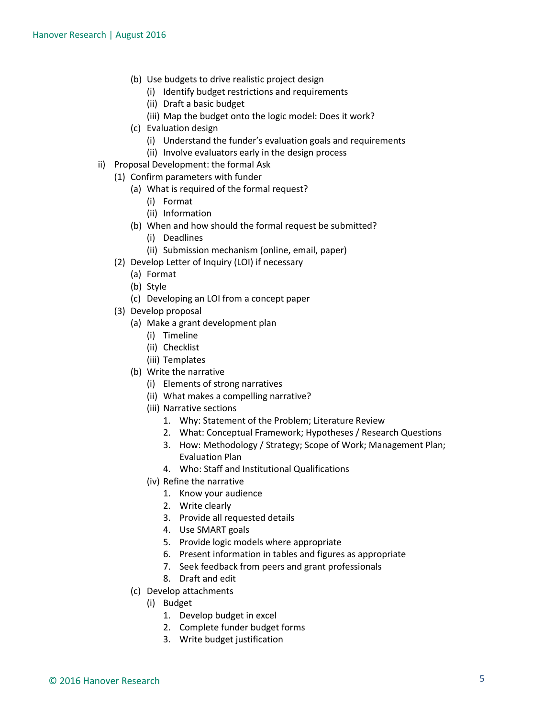- (b) Use budgets to drive realistic project design
	- (i) Identify budget restrictions and requirements
	- (ii) Draft a basic budget
	- (iii) Map the budget onto the logic model: Does it work?
- (c) Evaluation design
	- (i) Understand the funder's evaluation goals and requirements
	- (ii) Involve evaluators early in the design process
- ii) Proposal Development: the formal Ask
	- (1) Confirm parameters with funder
		- (a) What is required of the formal request?
			- (i) Format
			- (ii) Information
		- (b) When and how should the formal request be submitted?
			- (i) Deadlines
			- (ii) Submission mechanism (online, email, paper)
	- (2) Develop Letter of Inquiry (LOI) if necessary
		- (a) Format
		- (b) Style
		- (c) Developing an LOI from a concept paper
	- (3) Develop proposal
		- (a) Make a grant development plan
			- (i) Timeline
			- (ii) Checklist
			- (iii) Templates
		- (b) Write the narrative
			- (i) Elements of strong narratives
			- (ii) What makes a compelling narrative?
			- (iii) Narrative sections
				- 1. Why: Statement of the Problem; Literature Review
				- 2. What: Conceptual Framework; Hypotheses / Research Questions
				- 3. How: Methodology / Strategy; Scope of Work; Management Plan; Evaluation Plan
				- 4. Who: Staff and Institutional Qualifications
			- (iv) Refine the narrative
				- 1. Know your audience
				- 2. Write clearly
				- 3. Provide all requested details
				- 4. Use SMART goals
				- 5. Provide logic models where appropriate
				- 6. Present information in tables and figures as appropriate
				- 7. Seek feedback from peers and grant professionals
				- 8. Draft and edit
		- (c) Develop attachments
			- (i) Budget
				- 1. Develop budget in excel
				- 2. Complete funder budget forms
				- 3. Write budget justification